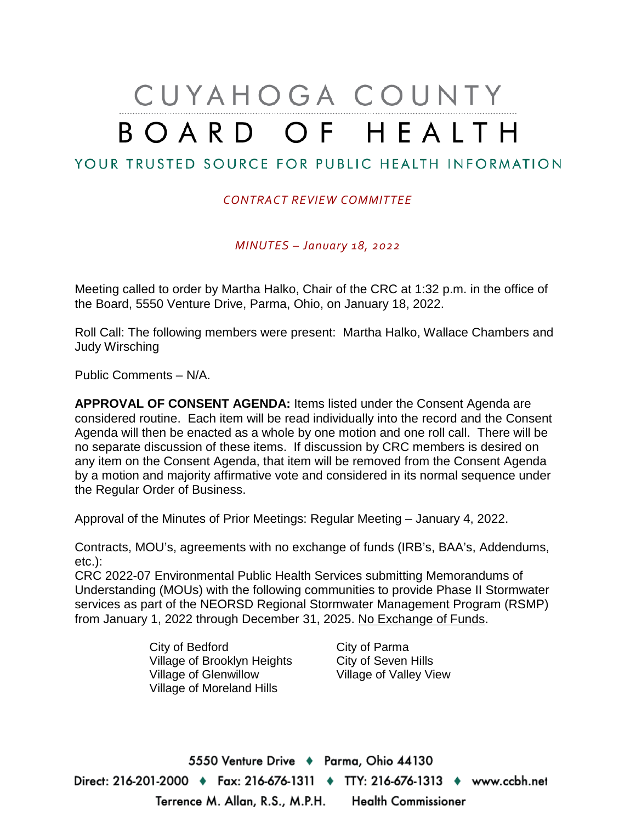# CUYAHOGA COUNTY BOARD OF HEALTH

## YOUR TRUSTED SOURCE FOR PUBLIC HEALTH INFORMATION

#### *CONTRACT REVIEW COMMITTEE*

*MINUTES – January 18, 2022*

Meeting called to order by Martha Halko, Chair of the CRC at 1:32 p.m. in the office of the Board, 5550 Venture Drive, Parma, Ohio, on January 18, 2022.

Roll Call: The following members were present: Martha Halko, Wallace Chambers and Judy Wirsching

Public Comments – N/A.

**APPROVAL OF CONSENT AGENDA:** Items listed under the Consent Agenda are considered routine. Each item will be read individually into the record and the Consent Agenda will then be enacted as a whole by one motion and one roll call. There will be no separate discussion of these items. If discussion by CRC members is desired on any item on the Consent Agenda, that item will be removed from the Consent Agenda by a motion and majority affirmative vote and considered in its normal sequence under the Regular Order of Business.

Approval of the Minutes of Prior Meetings: Regular Meeting – January 4, 2022.

Contracts, MOU's, agreements with no exchange of funds (IRB's, BAA's, Addendums, etc.):

CRC 2022-07 Environmental Public Health Services submitting Memorandums of Understanding (MOUs) with the following communities to provide Phase II Stormwater services as part of the NEORSD Regional Stormwater Management Program (RSMP) from January 1, 2022 through December 31, 2025. No Exchange of Funds.

> City of Bedford City of Parma Village of Brooklyn Heights City of Seven Hills<br>Village of Glenwillow Village of Valley Vi Village of Moreland Hills

Village of Valley View

5550 Venture Drive + Parma, Ohio 44130 Direct: 216-201-2000 ♦ Fax: 216-676-1311 ♦ TTY: 216-676-1313 ♦ www.ccbh.net Terrence M. Allan, R.S., M.P.H. Health Commissioner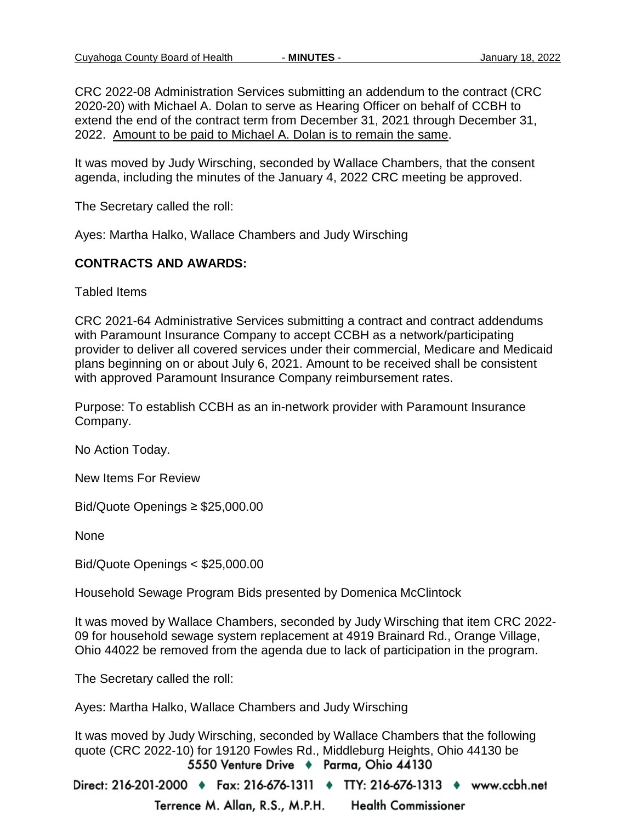CRC 2022-08 Administration Services submitting an addendum to the contract (CRC 2020-20) with Michael A. Dolan to serve as Hearing Officer on behalf of CCBH to extend the end of the contract term from December 31, 2021 through December 31, 2022. Amount to be paid to Michael A. Dolan is to remain the same.

It was moved by Judy Wirsching, seconded by Wallace Chambers, that the consent agenda, including the minutes of the January 4, 2022 CRC meeting be approved.

The Secretary called the roll:

Ayes: Martha Halko, Wallace Chambers and Judy Wirsching

#### **CONTRACTS AND AWARDS:**

Tabled Items

CRC 2021-64 Administrative Services submitting a contract and contract addendums with Paramount Insurance Company to accept CCBH as a network/participating provider to deliver all covered services under their commercial, Medicare and Medicaid plans beginning on or about July 6, 2021. Amount to be received shall be consistent with approved Paramount Insurance Company reimbursement rates.

Purpose: To establish CCBH as an in-network provider with Paramount Insurance Company.

No Action Today.

New Items For Review

Bid/Quote Openings ≥ \$25,000.00

None

Bid/Quote Openings < \$25,000.00

Household Sewage Program Bids presented by Domenica McClintock

It was moved by Wallace Chambers, seconded by Judy Wirsching that item CRC 2022- 09 for household sewage system replacement at 4919 Brainard Rd., Orange Village, Ohio 44022 be removed from the agenda due to lack of participation in the program.

The Secretary called the roll:

Ayes: Martha Halko, Wallace Chambers and Judy Wirsching

It was moved by Judy Wirsching, seconded by Wallace Chambers that the following quote (CRC 2022-10) for 19120 Fowles Rd., Middleburg Heights, Ohio 44130 be<br>5550 Venture Drive ♦ Parma, Ohio 44130

Direct: 216-201-2000 ♦ Fax: 216-676-1311 ♦ TTY: 216-676-1313 ♦ www.ccbh.net Terrence M. Allan, R.S., M.P.H. **Health Commissioner**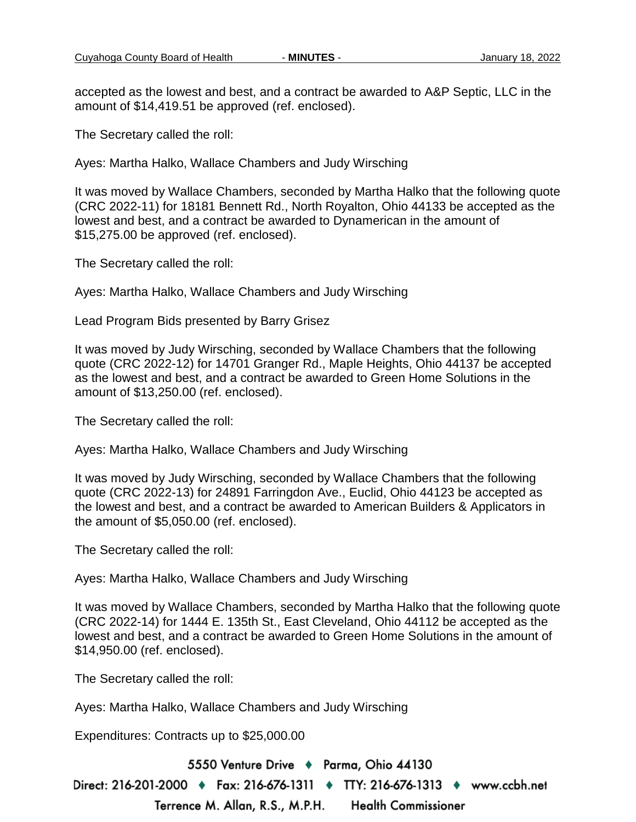accepted as the lowest and best, and a contract be awarded to A&P Septic, LLC in the amount of \$14,419.51 be approved (ref. enclosed).

The Secretary called the roll:

Ayes: Martha Halko, Wallace Chambers and Judy Wirsching

It was moved by Wallace Chambers, seconded by Martha Halko that the following quote (CRC 2022-11) for 18181 Bennett Rd., North Royalton, Ohio 44133 be accepted as the lowest and best, and a contract be awarded to Dynamerican in the amount of \$15,275.00 be approved (ref. enclosed).

The Secretary called the roll:

Ayes: Martha Halko, Wallace Chambers and Judy Wirsching

Lead Program Bids presented by Barry Grisez

It was moved by Judy Wirsching, seconded by Wallace Chambers that the following quote (CRC 2022-12) for 14701 Granger Rd., Maple Heights, Ohio 44137 be accepted as the lowest and best, and a contract be awarded to Green Home Solutions in the amount of \$13,250.00 (ref. enclosed).

The Secretary called the roll:

Ayes: Martha Halko, Wallace Chambers and Judy Wirsching

It was moved by Judy Wirsching, seconded by Wallace Chambers that the following quote (CRC 2022-13) for 24891 Farringdon Ave., Euclid, Ohio 44123 be accepted as the lowest and best, and a contract be awarded to American Builders & Applicators in the amount of \$5,050.00 (ref. enclosed).

The Secretary called the roll:

Ayes: Martha Halko, Wallace Chambers and Judy Wirsching

It was moved by Wallace Chambers, seconded by Martha Halko that the following quote (CRC 2022-14) for 1444 E. 135th St., East Cleveland, Ohio 44112 be accepted as the lowest and best, and a contract be awarded to Green Home Solutions in the amount of \$14,950.00 (ref. enclosed).

The Secretary called the roll:

Ayes: Martha Halko, Wallace Chambers and Judy Wirsching

Expenditures: Contracts up to \$25,000.00

5550 Venture Drive + Parma, Ohio 44130

Direct: 216-201-2000 ♦ Fax: 216-676-1311 ♦ TTY: 216-676-1313 ♦ www.ccbh.net

Terrence M. Allan, R.S., M.P.H. **Health Commissioner**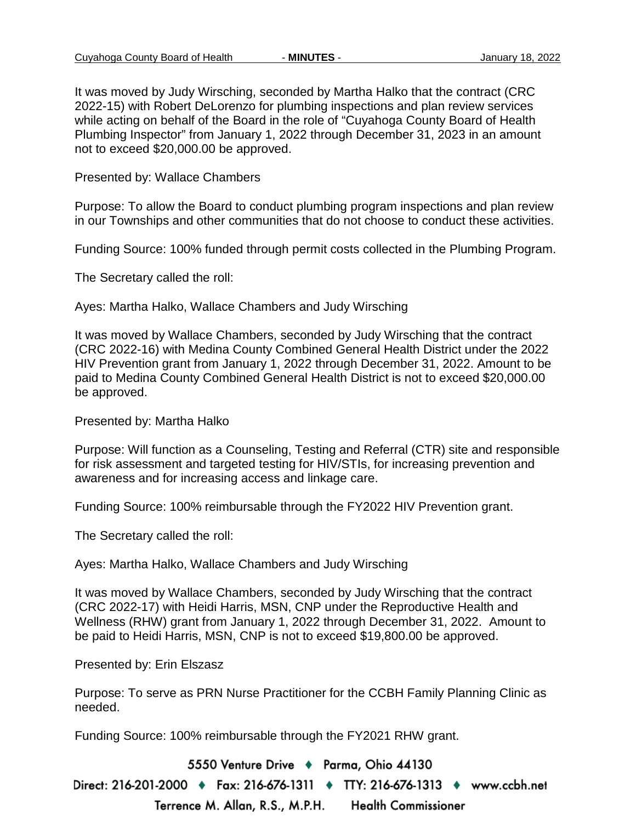It was moved by Judy Wirsching, seconded by Martha Halko that the contract (CRC 2022-15) with Robert DeLorenzo for plumbing inspections and plan review services while acting on behalf of the Board in the role of "Cuyahoga County Board of Health Plumbing Inspector" from January 1, 2022 through December 31, 2023 in an amount not to exceed \$20,000.00 be approved.

Presented by: Wallace Chambers

Purpose: To allow the Board to conduct plumbing program inspections and plan review in our Townships and other communities that do not choose to conduct these activities.

Funding Source: 100% funded through permit costs collected in the Plumbing Program.

The Secretary called the roll:

Ayes: Martha Halko, Wallace Chambers and Judy Wirsching

It was moved by Wallace Chambers, seconded by Judy Wirsching that the contract (CRC 2022-16) with Medina County Combined General Health District under the 2022 HIV Prevention grant from January 1, 2022 through December 31, 2022. Amount to be paid to Medina County Combined General Health District is not to exceed \$20,000.00 be approved.

Presented by: Martha Halko

Purpose: Will function as a Counseling, Testing and Referral (CTR) site and responsible for risk assessment and targeted testing for HIV/STIs, for increasing prevention and awareness and for increasing access and linkage care.

Funding Source: 100% reimbursable through the FY2022 HIV Prevention grant.

The Secretary called the roll:

Ayes: Martha Halko, Wallace Chambers and Judy Wirsching

It was moved by Wallace Chambers, seconded by Judy Wirsching that the contract (CRC 2022-17) with Heidi Harris, MSN, CNP under the Reproductive Health and Wellness (RHW) grant from January 1, 2022 through December 31, 2022. Amount to be paid to Heidi Harris, MSN, CNP is not to exceed \$19,800.00 be approved.

Presented by: Erin Elszasz

Purpose: To serve as PRN Nurse Practitioner for the CCBH Family Planning Clinic as needed.

Funding Source: 100% reimbursable through the FY2021 RHW grant.

5550 Venture Drive + Parma, Ohio 44130

Direct: 216-201-2000 ♦ Fax: 216-676-1311 ♦ TTY: 216-676-1313 ♦ www.ccbh.net Terrence M. Allan, R.S., M.P.H. **Health Commissioner**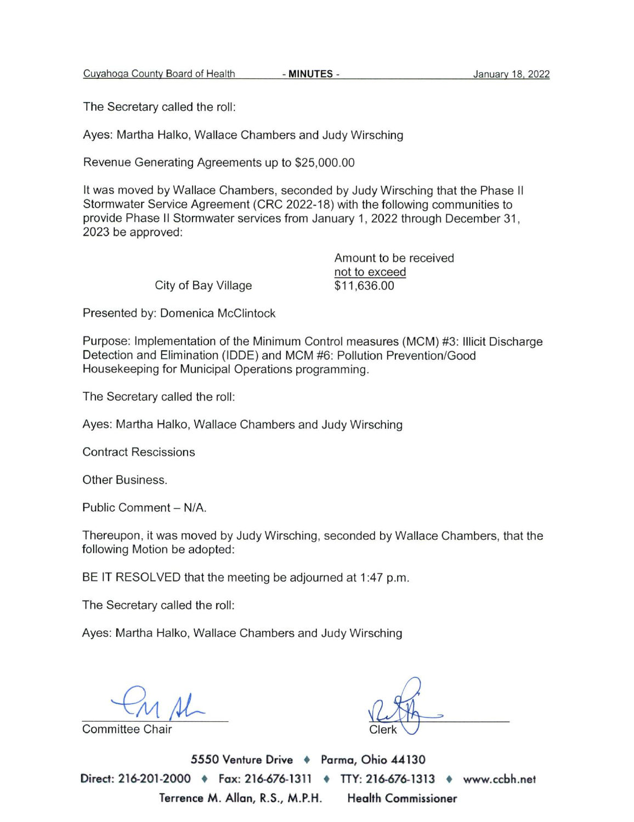- MINUTES -

The Secretary called the roll:

Ayes: Martha Halko, Wallace Chambers and Judy Wirsching

Revenue Generating Agreements up to \$25,000.00

It was moved by Wallace Chambers, seconded by Judy Wirsching that the Phase II Stormwater Service Agreement (CRC 2022-18) with the following communities to provide Phase II Stormwater services from January 1, 2022 through December 31, 2023 be approved:

|                     | Amount to be received |
|---------------------|-----------------------|
|                     | not to exceed         |
| City of Bay Village | \$11,636.00           |

Presented by: Domenica McClintock

Purpose: Implementation of the Minimum Control measures (MCM) #3: Illicit Discharge Detection and Elimination (IDDE) and MCM #6: Pollution Prevention/Good Housekeeping for Municipal Operations programming.

The Secretary called the roll:

Ayes: Martha Halko, Wallace Chambers and Judy Wirsching

**Contract Rescissions** 

Other Business.

Public Comment - N/A.

Thereupon, it was moved by Judy Wirsching, seconded by Wallace Chambers, that the following Motion be adopted:

BE IT RESOLVED that the meeting be adjourned at 1:47 p.m.

The Secretary called the roll:

Ayes: Martha Halko, Wallace Chambers and Judy Wirsching

**Committee Chair** 

5550 Venture Drive + Parma, Ohio 44130 Direct: 216-201-2000 • Fax: 216-676-1311 • TTY: 216-676-1313 • www.ccbh.net Terrence M. Allan, R.S., M.P.H. **Health Commissioner**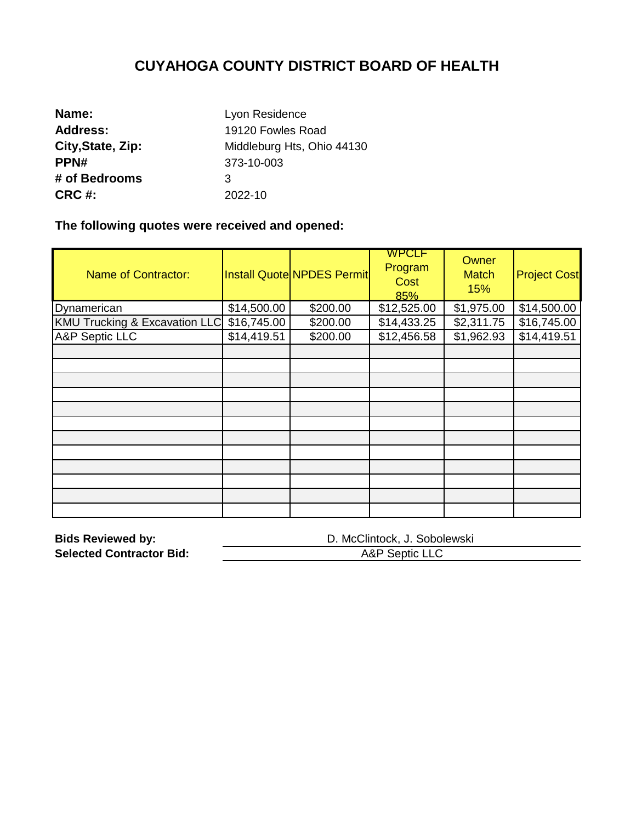| Name:             | Lyon Residence             |
|-------------------|----------------------------|
| <b>Address:</b>   | 19120 Fowles Road          |
| City, State, Zip: | Middleburg Hts, Ohio 44130 |
| PPN#              | 373-10-003                 |
| # of Bedrooms     | 3                          |
| CRC #:            | 2022-10                    |

**The following quotes were received and opened:** 

| <b>Name of Contractor:</b>               |             | <b>Install Quote NPDES Permit</b> | <b>WPCLF</b><br>Program<br>Cost<br>85% | Owner<br><b>Match</b><br>15% | <b>Project Cost</b> |
|------------------------------------------|-------------|-----------------------------------|----------------------------------------|------------------------------|---------------------|
| Dynamerican                              | \$14,500.00 | \$200.00                          | \$12,525.00                            | \$1,975.00                   | \$14,500.00         |
| <b>KMU Trucking &amp; Excavation LLC</b> | \$16,745.00 | \$200.00                          | \$14,433.25                            | \$2,311.75                   | \$16,745.00         |
| <b>A&amp;P Septic LLC</b>                | \$14,419.51 | \$200.00                          | \$12,456.58                            | \$1,962.93                   | \$14,419.51         |
|                                          |             |                                   |                                        |                              |                     |
|                                          |             |                                   |                                        |                              |                     |
|                                          |             |                                   |                                        |                              |                     |
|                                          |             |                                   |                                        |                              |                     |
|                                          |             |                                   |                                        |                              |                     |
|                                          |             |                                   |                                        |                              |                     |
|                                          |             |                                   |                                        |                              |                     |
|                                          |             |                                   |                                        |                              |                     |
|                                          |             |                                   |                                        |                              |                     |
|                                          |             |                                   |                                        |                              |                     |
|                                          |             |                                   |                                        |                              |                     |
|                                          |             |                                   |                                        |                              |                     |

| <b>Bids Reviewed by:</b>        | D. McClintock, J. Sobolewski |
|---------------------------------|------------------------------|
| <b>Selected Contractor Bid:</b> | A&P Septic LLC               |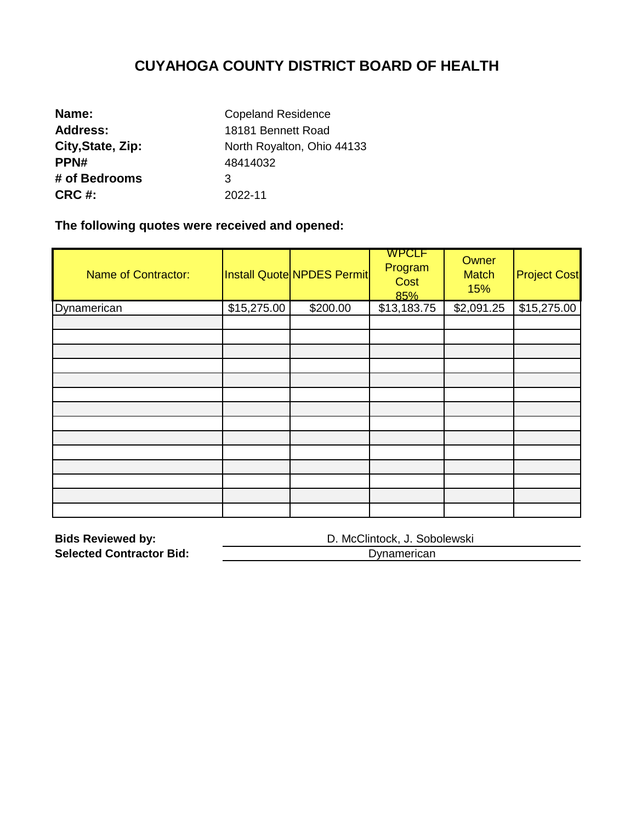| Name:             | <b>Copeland Residence</b>  |  |  |  |
|-------------------|----------------------------|--|--|--|
| <b>Address:</b>   | 18181 Bennett Road         |  |  |  |
| City, State, Zip: | North Royalton, Ohio 44133 |  |  |  |
| PPN#              | 48414032                   |  |  |  |
| # of Bedrooms     | 3                          |  |  |  |
| <b>CRC #:</b>     | 2022-11                    |  |  |  |

**The following quotes were received and opened:** 

| <b>Name of Contractor:</b> |             | Install Quote NPDES Permit | <b>WPCLF</b><br>Program<br>Cost<br>85% | Owner<br><b>Match</b><br>15% | <b>Project Cost</b> |
|----------------------------|-------------|----------------------------|----------------------------------------|------------------------------|---------------------|
| Dynamerican                | \$15,275.00 | \$200.00                   | \$13,183.75                            | \$2,091.25                   | \$15,275.00         |
|                            |             |                            |                                        |                              |                     |
|                            |             |                            |                                        |                              |                     |
|                            |             |                            |                                        |                              |                     |
|                            |             |                            |                                        |                              |                     |
|                            |             |                            |                                        |                              |                     |
|                            |             |                            |                                        |                              |                     |
|                            |             |                            |                                        |                              |                     |
|                            |             |                            |                                        |                              |                     |
|                            |             |                            |                                        |                              |                     |
|                            |             |                            |                                        |                              |                     |
|                            |             |                            |                                        |                              |                     |
|                            |             |                            |                                        |                              |                     |
|                            |             |                            |                                        |                              |                     |
|                            |             |                            |                                        |                              |                     |

| <b>Bids Reviewed by:</b>        | D. McClintock, J. Sobolewski |
|---------------------------------|------------------------------|
| <b>Selected Contractor Bid:</b> | Dynamerican                  |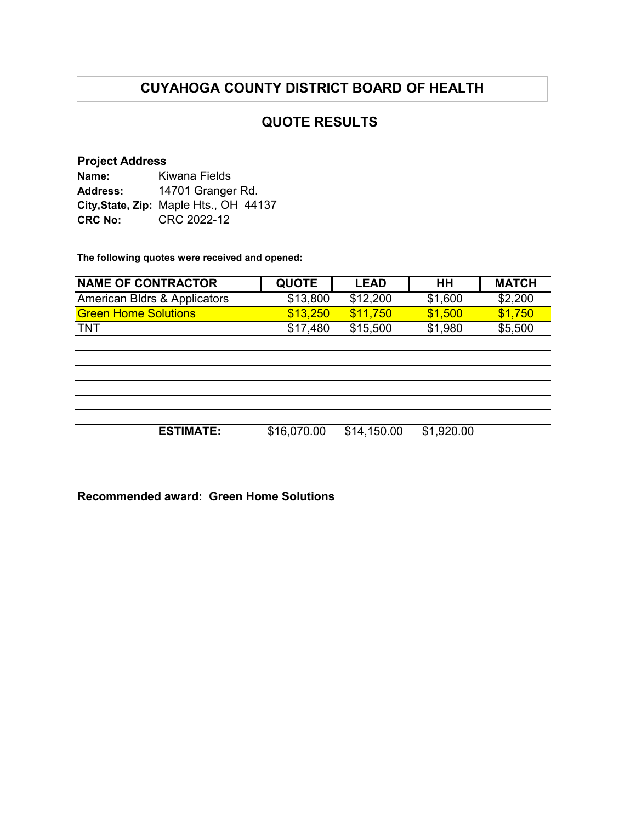## **QUOTE RESULTS**

#### **Project Address**

| Name:           | Kiwana Fields                          |  |  |  |
|-----------------|----------------------------------------|--|--|--|
| <b>Address:</b> | 14701 Granger Rd.                      |  |  |  |
|                 | City, State, Zip: Maple Hts., OH 44137 |  |  |  |
| <b>CRC No:</b>  | CRC 2022-12                            |  |  |  |

**The following quotes were received and opened:**

| <b>NAME OF CONTRACTOR</b>    | <b>QUOTE</b> | <b>LEAD</b> | HH         | <b>MATCH</b> |
|------------------------------|--------------|-------------|------------|--------------|
| American Bldrs & Applicators | \$13,800     | \$12,200    | \$1,600    | \$2,200      |
| <b>Green Home Solutions</b>  | \$13,250     | \$11,750    | \$1,500    | \$1,750      |
| <b>TNT</b>                   | \$17,480     | \$15,500    | \$1,980    | \$5,500      |
|                              |              |             |            |              |
|                              |              |             |            |              |
|                              |              |             |            |              |
|                              |              |             |            |              |
|                              |              |             |            |              |
|                              |              |             |            |              |
| <b>ESTIMATE:</b>             | \$16,070.00  | \$14,150.00 | \$1,920.00 |              |
|                              |              |             |            |              |

**Recommended award: Green Home Solutions**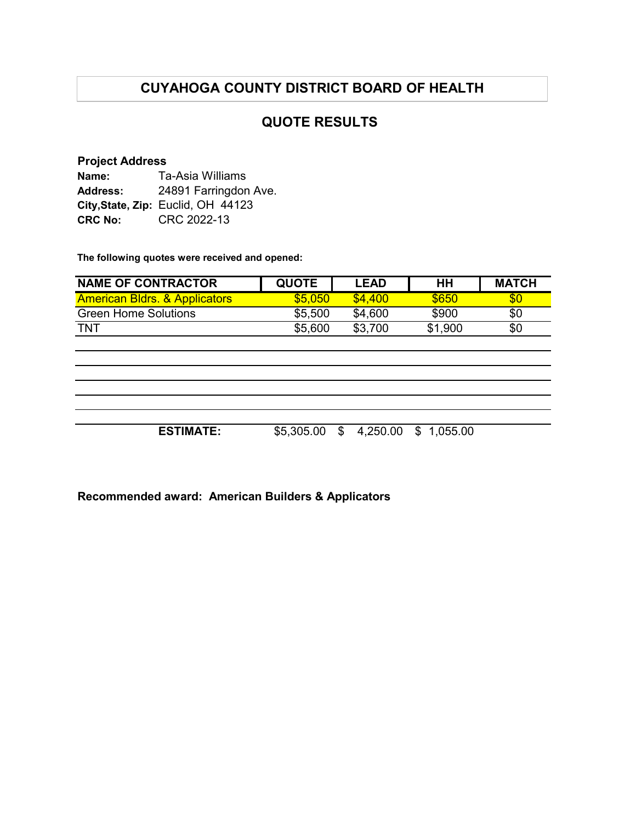## **QUOTE RESULTS**

#### **Project Address**

| Name:           | Ta-Asia Williams                   |  |  |  |
|-----------------|------------------------------------|--|--|--|
| <b>Address:</b> | 24891 Farringdon Ave.              |  |  |  |
|                 | City, State, Zip: Euclid, OH 44123 |  |  |  |
| <b>CRC No:</b>  | CRC 2022-13                        |  |  |  |

**The following quotes were received and opened:**

| <b>NAME OF CONTRACTOR</b>                | <b>QUOTE</b> | <b>LEAD</b>    | HH             | <b>MATCH</b> |
|------------------------------------------|--------------|----------------|----------------|--------------|
| <b>American Bldrs. &amp; Applicators</b> | \$5,050      | \$4,400        | \$650          | \$0          |
| <b>Green Home Solutions</b>              | \$5,500      | \$4,600        | \$900          | \$0          |
| <b>TNT</b>                               | \$5,600      | \$3,700        | \$1,900        | \$0          |
|                                          |              |                |                |              |
|                                          |              |                |                |              |
|                                          |              |                |                |              |
|                                          |              |                |                |              |
|                                          |              |                |                |              |
|                                          |              |                |                |              |
| <b>ESTIMATE:</b>                         | \$5,305.00   | 4,250.00<br>\$ | 1,055.00<br>\$ |              |
|                                          |              |                |                |              |

**Recommended award: American Builders & Applicators**